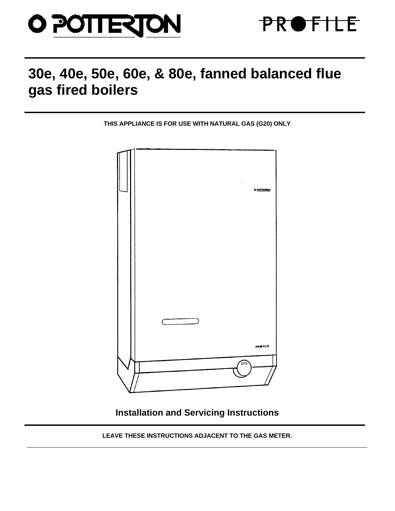



# **30e, 40e, 50e, 60e, & 80e, fanned balanced flue gas fired boilers**

**THIS APPLIANCE IS FOR USE WITH NATURAL GAS (G20) ONLY**



**Installation and Servicing Instructions**

**LEAVE THESE INSTRUCTIONS ADJACENT TO THE GAS METER.**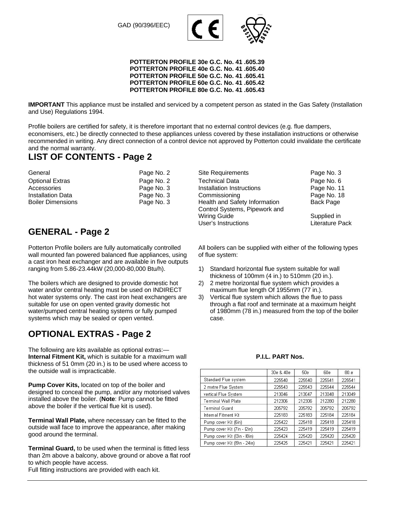GAD (90/396/EEC)



#### **POTTERTON PROFILE 30e G.C. No. 41 .605.39 POTTERTON PROFILE 40e G.C. No. 41 .605.40 POTTERTON PROFILE 50e G.C. No. 41 .605.41 POTTERTON PROFILE 60e G.C. No. 41 .605.42 POTTERTON PROFILE 80e G.C. No. 41 .605.43**

**IMPORTANT** This appliance must be installed and serviced by a competent person as stated in the Gas Safety (Installation and Use) Regulations 1994.

Profile boilers are certified for safety, it is therefore important that no external control devices (e.g. flue dampers, economisers, etc.) be directly connected to these appliances unless covered by these installation instructions or otherwise recommended in writing. Any direct connection of a control device not approved by Potterton could invalidate the certificate and the normal warranty.

# **LIST OF CONTENTS - Page 2**

| General                  | Page No. 2 |
|--------------------------|------------|
| <b>Optional Extras</b>   | Page No. 2 |
| Accessories              | Page No. 3 |
| Installation Data        | Page No. 3 |
| <b>Boiler Dimensions</b> | Page No. 3 |

# **GENERAL - Page 2**

Potterton Profile boilers are fully automatically controlled wall mounted fan powered balanced flue appliances, using a cast iron heat exchanger and are available in five outputs ranging from 5.86-23.44kW (20,000-80,000 Btu/h).

The boilers which are designed to provide domestic hot water and/or central heating must be used on INDIRECT hot water systems only. The cast iron heat exchangers are suitable for use on open vented gravity domestic hot water/pumped central heating systems or fully pumped systems which may be sealed or open vented.

# **OPTIONAL EXTRAS - Page 2**

The following are kits available as optional extras:— **Internal Fitment Kit,** which is suitable for a maximum wall thickness of 51 0mm (20 in.) is to be used where access to the outside wall is impracticable.

**Pump Cover Kits,** located on top of the boiler and designed to conceal the pump, and/or any motorised valves installed above the boiler. (**Note**: Pump cannot be fitted above the boiler if the vertical flue kit is used).

**Terminal Wall Plate,** where necessary can be fitted to the outside wall face to improve the appearance, after making good around the terminal.

**Terminal Guard,** to be used when the terminal is fitted less than 2m above a balcony, above ground or above a flat roof to which people have access.

Full fitting instructions are provided with each kit.

Site Requirements **Page No. 3** Technical Data **Page No. 6** Technical Data Installation Instructions **Page No. 11 Commissioning Commissioning Page No. 18** Health and Safety Information Back Page Control Systems, Pipework and Wiring Guide Supplied in User's Instructions Literature Pack

All boilers can be supplied with either of the following types of flue system:

- 1) Standard horizontal flue system suitable for wall thickness of 100mm (4 in.) to 510mm (20 in.).
- 2) 2 metre horizontal flue system which provides a maximum flue length Of 1955mm (77 in.).
- 3) Vertical flue system which allows the flue to pass through a flat roof and terminate at a maximum height of 1980mm (78 in.) measured from the top of the boiler case.

### **P.I.L. PART Nos.**

|                              | 30e & 40e | 50e    | 60e    | 80.e   |
|------------------------------|-----------|--------|--------|--------|
| Standard Flue system         | 225540    | 225540 | 225541 | 225541 |
| 2 metre Flue System          | 225543    | 225543 | 225544 | 225544 |
| vertical Flue System         | 213046    | 213047 | 213048 | 213049 |
| Terminal Wall Plate          | 212306    | 212306 | 212280 | 212280 |
| <b>Terminal Guard</b>        | 205792    | 205792 | 205792 | 205792 |
| Internal Fitment Kit         | 225183    | 225183 | 225184 | 225184 |
| Pump cover Kit (6in)         | 225422    | 225418 | 225418 | 225418 |
| Pump cover Kit (7in - I2in)  | 225423    | 225419 | 225419 | 225419 |
| Pump cover Kit (Bin - I8in)  | 225424    | 225420 | 225420 | 225420 |
| Pump cover Kit (19in - 24in) | 225425    | 225421 | 225421 | 225421 |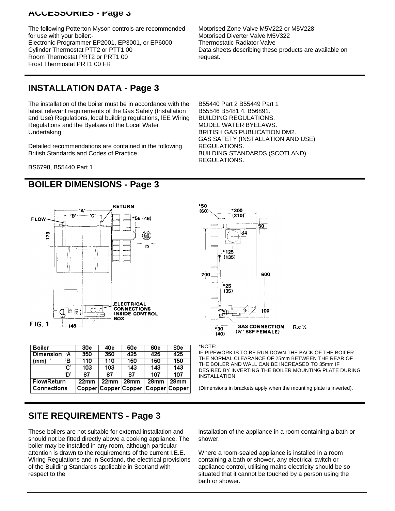## **ACCESSORIES - Page 3**

The following Potterton Myson controls are recommended for use with your boiler:- Electronic Programmer EP2001, EP3001, or EP6000 Cylinder Thermostat PTT2 or PTT1 00 Room Thermostat PRT2 or PRT1 00 Frost Thermostat PRT1 00 FR

Motorised Zone Valve M5V222 or M5V228 Motorised Diverter Valve M5V322 Thermostatic Radiator Valve Data sheets describing these products are available on request.

# **INSTALLATION DATA - Page 3**

The installation of the boiler must be in accordance with the latest relevant requirements of the Gas Safety (Installation and Use) Regulations, local building regulations, lEE Wiring Regulations and the Byelaws of the Local Water Undertaking.

Detailed recommendations are contained in the following British Standards and Codes of Practice.

B55546 B5481 4. B56891. BUILDING REGULATIONS. MODEL WATER BYELAWS. BRITISH GAS PUBLICATION DM2. GAS SAFETY (INSTALLATION AND USE) REGULATIONS. BUILDING STANDARDS (SCOTLAND) REGULATIONS.

B55440 Part 2 B55449 Part 1

BS6798, B55440 Part 1

# **BOILER DIMENSIONS - Page 3**



| <b>Boiler</b>      | 30e              | 40e              | <b>50e</b>       | 60e                                | 80e  |
|--------------------|------------------|------------------|------------------|------------------------------------|------|
| ۰A<br>Dimension    | 350              | 350              | 425              | 425                                | 425  |
| Έ<br>(mm)          | 110              | 110              | 150              | 150                                | 150  |
| 'C'                | 103              | 103              | 143              | 143                                | 143  |
| יחי                | 87               | 87               | 87               | 107                                | 107  |
| <b>Flow/Return</b> | 22 <sub>mm</sub> | 22 <sub>mm</sub> | 28 <sub>mm</sub> | 28mm                               | 28mm |
| <b>Connections</b> |                  |                  |                  | Copper Copper Copper Copper Copper |      |

\*NOTE:

IF PIPEWORK IS TO BE RUN DOWN THE BACK OF THE BOILER THE NORMAL CLEARANCE OF 25mm BETWEEN THE REAR OF THE BOILER AND WALL CAN BE INCREASED TO 35mm IF DESIRED BY INVERTING THE BOILER MOUNTING PLATE DURING INSTALLATION

(Dimensions in brackets apply when the mounting plate is inverted).

# **SITE REQUIREMENTS - Page 3**

These boilers are not suitable for external installation and should not be fitted directly above a cooking appliance. The boiler may be installed in any room, although particular attention is drawn to the requirements of the current I.E.E. Wiring Regulations and in Scotland, the electrical provisions of the Building Standards applicable in Scotland with respect to the

installation of the appliance in a room containing a bath or shower.

Where a room-sealed appliance is installed in a room containing a bath or shower, any electrical switch or appliance control, utilising mains electricity should be so situated that it cannot be touched by a person using the bath or shower.

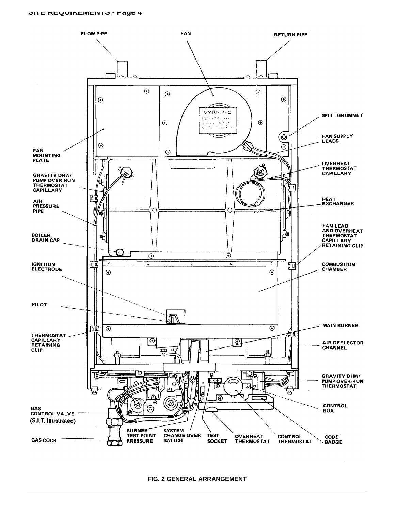#### **SITE REQUIREMENTS - Page 4**



**FIG. 2 GENERAL ARRANGEMENT**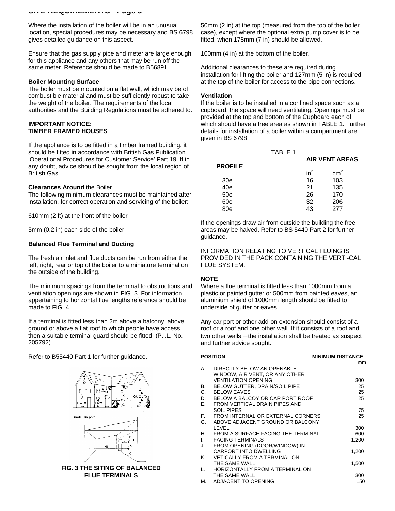Where the installation of the boiler will be in an unusual location, special procedures may be necessary and BS 6798 gives detailed guidance on this aspect.

Ensure that the gas supply pipe and meter are large enough for this appliance and any others that may be run off the same meter. Reference should be made to B56891

#### **Boiler Mounting Surface**

The boiler must be mounted on a flat wall, which may be of combustible material and must be sufficiently robust to take the weight of the boiler. The requirements of the local authorities and the Building Regulations must be adhered to.

#### **IMPORTANT NOTICE: TIMBER FRAMED HOUSES**

If the appliance is to be fitted in a timber framed building, it should be fitted in accordance with British Gas Publication 'Operational Procedures for Customer Service' Part 19. If in any doubt, advice should be sought from the local region of British Gas.

#### **Clearances Around** the Boiler

The following minimum clearances must be maintained after installation, for correct operation and servicing of the boiler:

610mm (2 ft) at the front of the boiler

5mm (0.2 in) each side of the boiler

#### **Balanced Flue Terminal and Ducting**

The fresh air inlet and flue ducts can be run from either the left, right, rear or top of the boiler to a miniature terminal on the outside of the building.

The minimum spacings from the terminal to obstructions and ventilation openings are shown in FIG. 3. For information appertaining to horizontal flue lengths reference should be made to FIG. 4.

If a terminal is fitted less than 2m above a balcony, above ground or above a flat roof to which people have access then a suitable terminal guard should be fitted. (P.l.L. No. 205792).

Refer to B55440 Part 1 for further guidance.



**FLUE TERMINALS**

50mm (2 in) at the top (measured from the top of the boiler case), except where the optional extra pump cover is to be fitted, when 178mm (7 in) should be allowed.

100mm (4 in) at the bottom of the boiler.

Additional clearances to these are required during installation for lifting the boiler and 127mm (5 in) is required at the top of the boiler for access to the pipe connections.

#### **Ventilation**

If the boiler is to be installed in a confined space such as a cupboard, the space will need ventilating. Openings must be provided at the top and bottom of the Cupboard each of which should have a free area as shown in TABLE 1. Further details for installation of a boiler within a compartment are given in BS 6798.

|                | <b>TABLE 1</b> |                       |               |  |
|----------------|----------------|-----------------------|---------------|--|
|                |                | <b>AIR VENT AREAS</b> |               |  |
| <b>PROFILE</b> |                | $in^2$                |               |  |
|                |                |                       | $\text{cm}^2$ |  |
| 30e            |                | 16                    | 103           |  |
| 40e            |                | 21                    | 135           |  |
| 50e            |                | 26                    | 170           |  |
| 60e            |                | 32                    | 206           |  |
| 80e            |                | 43                    | 277           |  |

If the openings draw air from outside the building the free areas may be halved. Refer to BS 5440 Part 2 for further guidance.

INFORMATION RELATING TO VERTICAL FLUING IS PROVIDED IN THE PACK CONTAINING THE VERTI-CAL FLUE SYSTEM.

#### **NOTE**

Where a flue terminal is fitted less than 1000mm from a plastic or painted gutter or 500mm from painted eaves, an aluminium shield of 1000mm length should be fitted to underside of gutter or eaves.

Any car port or other add-on extension should consist of a roof or a roof and one other wall. If it consists of a roof and two other walls – the installation shall be treated as suspect and further advice sought.

|    | <b>POSITION</b>                      | <b>MINIMUM DISTANCE</b> |
|----|--------------------------------------|-------------------------|
|    |                                      | mm                      |
| А. | DIRECTLY BELOW AN OPENABLE           |                         |
|    | WINDOW, AIR VENT, OR ANY OTHER       |                         |
|    | <b>VENTILATION OPENING.</b>          | 300                     |
| В. | <b>BELOW GUTTER, DRAIN/SOIL PIPE</b> | 25                      |
| C. | <b>BELOW EAVES</b>                   | 25                      |
| D. | BELOW A BALCOY OR CAR PORT ROOF      | 25                      |
| Ε. | FROM VERTICAL DRAIN PIPES AND        |                         |
|    | SOIL PIPES                           | 75                      |
| F. | FROM INTERNAL OR EXTERNAL CORNERS    | 25                      |
| G. | ABOVE ADJACENT GROUND OR BALCONY     |                         |
|    | LEVEL                                | 300                     |
| Η. | FROM A SURFACE FACING THE TERMINAL   | 600                     |
| L. | <b>FACING TERMINALS</b>              | 1,200                   |
| J. | FROM OPENING (DOOR/WINDOW) IN        |                         |
|    | <b>CARPORT INTO DWELLING</b>         | 1,200                   |
| Κ. | <b>VETICALLY FROM A TERMINAL ON</b>  |                         |
|    | THE SAME WALL                        | 1,500                   |
| L. | HORIZONTALLY FROM A TERMINAL ON      |                         |
|    | THE SAME WALL                        | 300                     |
| М. | ADJACENT TO OPENING                  | 150                     |
|    |                                      |                         |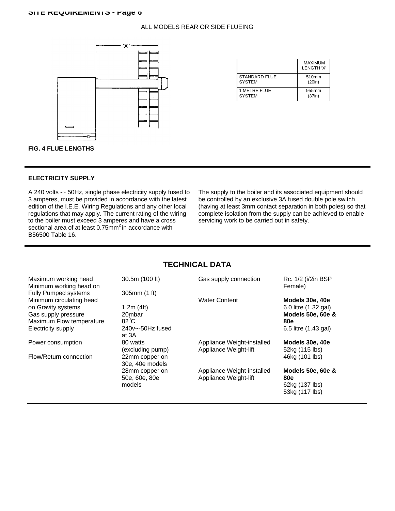#### ALL MODELS REAR OR SIDE FLUEING



|                      | <b>MAXIMUM</b><br>LENGTH 'X' |
|----------------------|------------------------------|
| <b>STANDARD FLUE</b> | 510mm                        |
| <b>SYSTEM</b>        | (20in)                       |
| 1 METRE ELUE         | 955mm                        |
| <b>SYSTEM</b>        | (37in)                       |

#### **FIG. 4 FLUE LENGTHS**

### **ELECTRICITY SUPPLY**

A 240 volts -~ 50Hz, single phase electricity supply fused to 3 amperes, must be provided in accordance with the latest edition of the I.E.E. Wiring Regulations and any other local regulations that may apply. The current rating of the wiring to the boiler must exceed 3 amperes and have a cross sectional area of at least  $0.75$ mm<sup>2</sup> in accordance with B56500 Table 16.

The supply to the boiler and its associated equipment should be controlled by an exclusive 3A fused double pole switch (having at least 3mm contact separation in both poles) so that complete isolation from the supply can be achieved to enable servicing work to be carried out in safety.

# **TECHNICAL DATA**

| Maximum working head<br>Minimum working head on | 30.5m (100 ft)            | Gas supply connection      | Rc. 1/2 (i/2in BSP<br>Female) |
|-------------------------------------------------|---------------------------|----------------------------|-------------------------------|
| <b>Fully Pumped systems</b>                     | 305mm (1 ft)              |                            |                               |
| Minimum circulating head                        |                           | <b>Water Content</b>       | Models 30e, 40e               |
| on Gravity systems                              | 1.2m $(4ft)$              |                            | 6.0 litre (1.32 gal)          |
| Gas supply pressure                             | 20mbar                    |                            | Models 50e, 60e &             |
| Maximum Flow temperature                        | $82^0C$                   |                            | <b>80e</b>                    |
| Electricity supply                              | $240v$ $\sim$ -50Hz fused |                            | 6.5 litre (1.43 gal)          |
|                                                 | at 3A                     |                            |                               |
| Power consumption                               | 80 watts                  | Appliance Weight-installed | Models 30e, 40e               |
|                                                 | (excluding pump)          | Appliance Weight-lift      | 52kg (115 lbs)                |
| Flow/Return connection                          | 22mm copper on            |                            | 46kg (101 lbs)                |
|                                                 | 30e, 40e models           |                            |                               |
|                                                 | 28mm copper on            | Appliance Weight-installed | Models 50e, 60e &             |
|                                                 | 50e, 60e, 80e             | Appliance Weight-lift      | <b>80e</b>                    |
|                                                 | models                    |                            | 62kg (137 lbs)                |
|                                                 |                           |                            | 53kg (117 lbs)                |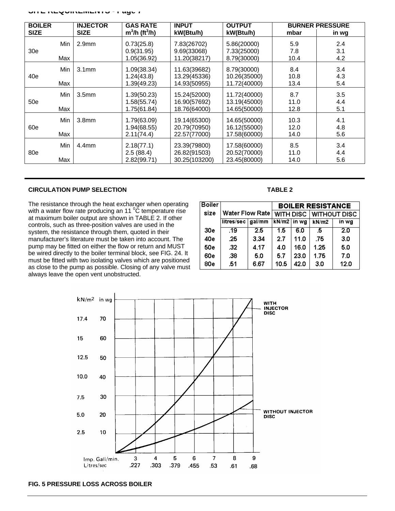| <b>BOILER</b>   |     | <b>INJECTOR</b>   | <b>GAS RATE</b>             | <b>INPUT</b>  | <b>OUTPUT</b> |      | <b>BURNER PRESSURE</b> |
|-----------------|-----|-------------------|-----------------------------|---------------|---------------|------|------------------------|
| <b>SIZE</b>     |     | <b>SIZE</b>       | $m3/h$ (ft <sup>3</sup> /h) | kW(Btu/h)     | kW(Btu/h)     | mbar | in wg                  |
|                 | Min | 2.9 <sub>mm</sub> | 0.73(25.8)                  | 7.83(26702)   | 5.86(20000)   | 5.9  | 2.4                    |
| 30 <sub>e</sub> |     |                   | 0.9(31.95)                  | 9.69(33068)   | 7.33(25000)   | 7.8  | 3.1                    |
|                 | Max |                   | 1.05(36.92)                 | 11.20(38217)  | 8.79(30000)   | 10.4 | 4.2                    |
|                 | Min | 3.1 <sub>mm</sub> | 1.09(38.34)                 | 11.63(39682)  | 8.79(30000)   | 8.4  | 3.4                    |
| 40e             |     |                   | 1.24(43.8)                  | 13.29(45336)  | 10.26(35000)  | 10.8 | 4.3                    |
|                 | Max |                   | 1.39(49.23)                 | 14.93(50955)  | 11.72(40000)  | 13.4 | 5.4                    |
|                 | Min | 3.5 <sub>mm</sub> | 1.39(50.23)                 | 15.24(52000)  | 11.72(40000)  | 8.7  | 3.5                    |
| 50e             |     |                   | 1.58(55.74)                 | 16.90(57692)  | 13.19(45000)  | 11.0 | 4.4                    |
|                 | Max |                   | 1.75(61.84)                 | 18.76(64000)  | 14.65(50000)  | 12.8 | 5.1                    |
|                 | Min | 3.8 <sub>mm</sub> | 1.79(63.09)                 | 19.14(65300)  | 14.65(50000)  | 10.3 | 4.1                    |
| 60e             |     |                   | 1.94(68.55)                 | 20.79(70950)  | 16.12(55000)  | 12.0 | 4.8                    |
|                 | Max |                   | 2.11(74.4)                  | 22.57(77000)  | 17.58(60000)  | 14.0 | 5.6                    |
|                 | Min | 4.4 <sub>mm</sub> | 2.18(77.1)                  | 23.39(79800)  | 17.58(60000)  | 8.5  | 3.4                    |
| 80e             |     |                   | 2.5(88.4)                   | 26.82(91503)  | 20.52(70000)  | 11.0 | 4.4                    |
|                 | Max |                   | 2.82(99.71)                 | 30.25(103200) | 23.45(80000)  | 14.0 | 5.6                    |

### **CIRCULATION PUMP SELECTION**

The resistance through the heat exchanger when operating with a water flow rate producing an 11 $\degree$ C temperature rise at maximum boiler output are shown in TABLE 2. If other controls, such as three-position valves are used in the system, the resistance through them, quoted in their manufacturer's literature must be taken into account. The pump may be fitted on either the flow or return and MUST be wired directly to the boiler terminal block, see FIG. 24. It must be fitted with two isolating valves which are positioned as close to the pump as possible. Closing of any valve must always leave the open vent unobstructed.

**TABLE 2**

| <b>Boiler</b>   |                     |                 |               |      | <b>BOILER RESISTANCE</b> |                        |
|-----------------|---------------------|-----------------|---------------|------|--------------------------|------------------------|
| size            |                     | Water Flow Rate |               |      |                          | WITH DISC WITHOUT DISC |
|                 | litres/sec   gal/mm |                 | $kN/m2$ in wg |      | kN/m2                    | in wg                  |
| 30 <sub>e</sub> | .19                 | 2.5             | 1.5           | 6.0  | .5                       | 2.0                    |
| 40e             | .25                 | 3.34            | 2.7           | 11.0 | .75                      | 3.0                    |
| 50e             | .32                 | 4.17            | 4.0           | 16.0 | 1.25                     | 5.0                    |
| 60e             | .38                 | 5.0             | 5.7           | 23.0 | 1.75                     | 7.0                    |
| 80e             | .51                 | 6.67            | 10.5          | 42.0 | 3.0                      | 12.0                   |



#### **FIG. 5 PRESSURE LOSS ACROSS BOILER**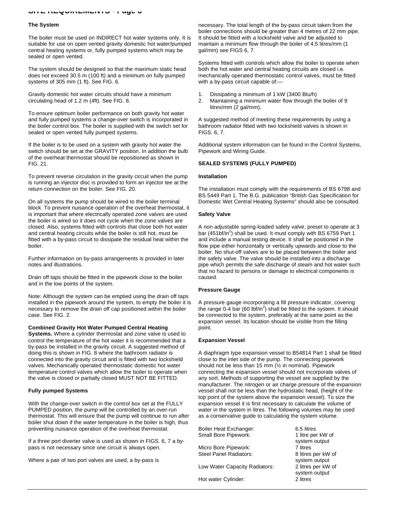#### **SITE REQUIREMENTS - Page 8**

#### **The System**

The boiler must be used on INDIRECT hot water systems only. It is suitable for use on open vented gravity domestic hot water/pumped central heating systems or, fully pumped systems which may be sealed or open vented.

The system should be designed so that the maximum static head does not exceed 30.5 m (100 ft) and a minimum on fully pumped systems of 305 mm (1 ft). See FIG. 6.

Gravity domestic hot water circuits should have a minimum circulating head of 1.2 m (4ft). See FIG. 8.

To ensure optimum boiler performance on both gravity hot water and fully pumped systems a change-over switch is incorporated in the boiler control box. The boiler is supplied with the switch set for sealed or open vented fully pumped systems.

If the boiler is to be used on a system with gravity hot water the switch should be set at the GRAVITY position. In addition the bulb of the overheat thermostat should be repositioned as shown in FIG. 21.

To prevent reverse circulation in the gravity circuit when the pump is running an injector disc is provided to form an injector tee at the return connection on the boiler. See FIG. 20.

On all systems the pump should be wired to the boiler terminal block. To prevent nuisance operation of the overheat thermostat, it is important that where electrically operated zone valves are used the boiler is wired so it does not cycle when the zone valves are closed. Also, systems fitted with controls that close both hot water and central heating circuits while the boiler is still hot, must be fitted with a by-pass circuit to dissipate the residual heat within the boiler.

Further information on by-pass arrangements is provided in later notes and illustrations.

Drain off taps should be fitted in the pipework close to the boiler and in the low points of the system.

Note: Although the system can be emptied using the drain off taps installed in the pipework around the system, to empty the boiler it is necessary to remove the drain off cap positioned within the boiler case. See FIG. 2.

#### **Combined Gravity Hot Water Pumped Central Heating**

**Systems.** Where a cylinder thermostat and zone valve is used to control the temperature of the hot water it is recommended that a by-pass be installed in the gravity circuit. A suggested method of doing this is shown in FIG. 8 where the bathroom radiator is connected into the gravity circuit and is fitted with two lockshield valves. Mechanically operated thermostatic domestic hot water temperature control valves which allow the boiler to operate when the valve is closed or partially closed MUST NOT BE FITTED.

#### **Fully pumped Systems**

With the change-over switch in the control box set at the FULLY PUMPED position, the pump will be controlled by an over-run thermostat. This will ensure that the pump will continue to run after boiler shut down if the water temperature in the boiler is high, thus preventing nuisance operation of the overheat thermostat.

If a three port diverter valve is used as shown in FIGS. 6, 7 a bypass is not necessary since one circuit is always open.

Where a pair of two port valves are used, a by-pass is

necessary. The total length of the by-pass circuit taken from the boiler connections should be greater than 4 metres of 22 mm pipe. It should be fitted with a lockshield valve and be adjusted to maintain a minimum flow through the boiler of 4.5 litres/mm (1 gal/mm) see FIGS 6, 7.

Systems fitted with controls which allow the boiler to operate when both the hot water and central heating circuits are closed i.e. mechanically operated thermostatic control valves, must be fitted with a by-pass circuit capable of:—

- 1. Dissipating a minimum of 1 kW (3400 Btu/h)
- 2. Maintaining a minimum water flow through the boiler of 9 litres/mm (2 gal/mm).

A suggested method of meeting these requirements by using a bathroom radiator fitted with two lockshield valves is shown in FIGS. 6, 7.

Additional system information can be found in the Control Systems, Pipework and Wiring Guide.

#### **SEALED SYSTEMS (FULLY PUMPED)**

#### **Installation**

The installation must comply with the requirements of BS 6798 and BS 5449 Part 1. The B.G. publication "British Gas Specification for Domestic Wet Central Heating Systems" should also be consulted.

#### **Safety Valve**

A non adjustable spring-loaded safety valve, preset to operate at 3 bar (451bf/in<sup>2</sup>) shall be used. It must comply with BS 6759 Part 1 and include a manual testing device. It shall be positioned in the flow pipe either horizontally or vertically upwards and close to the boiler. No shut-off valves are to be placed between the boiler and the safety valve. The valve should be installed into a discharge pipe which permits the safe discharge of steam and hot water such that no hazard to persons or damage to electrical components is caused.

#### **Pressure Gauge**

A pressure gauge incorporating a fill pressure indicator, covering the range 0-4 bar (60 lbf/in<sup>2</sup>) shall be fitted to the system. It should be connected to the system, preferably at the same point as the expansion vessel. Its location should be visible from the filling point.

#### **Expansion Vessel**

A diaphragm type expansion vessel to B54814 Part 1 shall be fitted close to the inlet side of the pump. The connecting pipework should not be less than 15 mm (½ in nominal). Pipework connecting the expansion vessel should not incorporate valves of any sort. Methods of supporting the vessel are supplied by the manufacturer. The nitrogen or air charge pressure of the expansion vessel shall not be less than the hydrostatic head, (height of the top point of the system above the expansion vessel). To size the expansion vessel it is first necessary to calculate the volume of water in the system in litres. The following volumes may be used as a conservative guide to calculating the system volume.

| Boiler Heat Exchanger:<br>Small Bore Pipework: | 6.5 litres<br>1 litre per kW of<br>system output |
|------------------------------------------------|--------------------------------------------------|
| Micro Bore Pipework:                           | 7 litres                                         |
| <b>Steel Panel Radiators:</b>                  | 8 litres per kW of<br>system output              |
| Low Water Capacity Radiators:                  | 2 litres per kW of<br>system output              |
| Hot water Cylinder:                            | 2 litres                                         |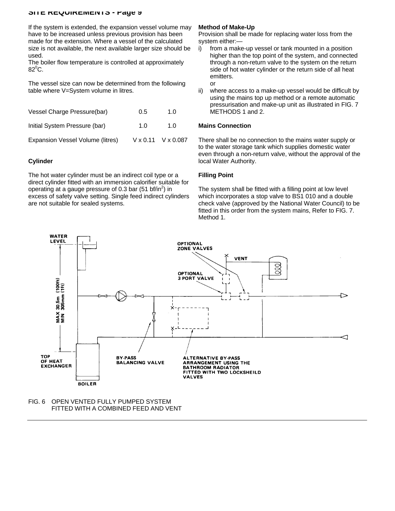#### **SITE REQUIREMENTS - Fage 9**

If the system is extended, the expansion vessel volume may have to be increased unless previous provision has been made for the extension. Where a vessel of the calculated size is not available, the next available larger size should be used.

The boiler flow temperature is controlled at approximately  $82^{\circ}$ C.

The vessel size can now be determined from the following table where V=System volume in litres.

| Vessel Charge Pressure(bar)      | 0.5 | 1. $\Omega$                      |
|----------------------------------|-----|----------------------------------|
| Initial System Pressure (bar)    | 1.0 | 1 N                              |
| Expansion Vessel Volume (litres) |     | $V \times 0.11$ $V \times 0.087$ |

#### **Cylinder**

The hot water cylinder must be an indirect coil type or a direct cylinder fitted with an immersion calorifier suitable for operating at a gauge pressure of 0.3 bar (51 bf/in<sup>2</sup>) in excess of safety valve setting. Single feed indirect cylinders are not suitable for sealed systems.

#### **Method of Make-Up**

Provision shall be made for replacing water loss from the system either:—

- i) from a make-up vessel or tank mounted in a position higher than the top point of the system, and connected through a non-return valve to the system on the return side of hot water cylinder or the return side of all heat emitters.
- or
- ii) where access to a make-up vessel would be difficult by using the mains top up method or a remote automatic pressurisation and make-up unit as illustrated in FIG. 7 METHODS 1 and 2.

#### **Mains Connection**

There shall be no connection to the mains water supply or to the water storage tank which supplies domestic water even through a non-return valve, without the approval of the local Water Authority.

#### **Filling Point**

The system shall be fitted with a filling point at low level which incorporates a stop valve to BS1 010 and a double check valve (approved by the National Water Council) to be fitted in this order from the system mains, Refer to FIG. 7. Method 1.



#### FIG. 6 OPEN VENTED FULLY PUMPED SYSTEM FITTED WITH A COMBINED FEED AND VENT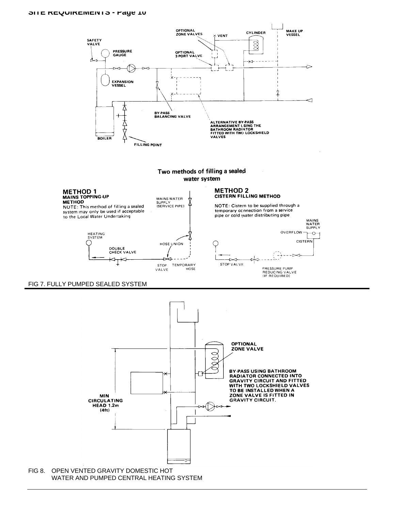#### **SITE REQUIREMENTS - Fage 10**



#### FIG 7. FULLY PUMPED SEALED SYSTEM

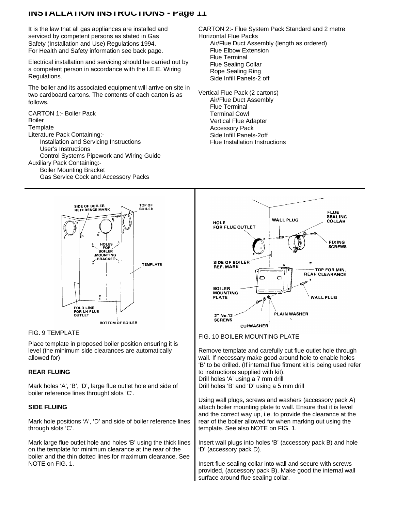It is the law that all gas appliances are installed and serviced by competent persons as stated in Gas Safety (Installation and Use) Regulations 1994. For Health and Safety information see back page.

Electrical installation and servicing should be carried out by a competent person in accordance with the I.E.E. Wiring Regulations.

The boiler and its associated equipment will arrive on site in two cardboard cartons. The contents of each carton is as follows.

CARTON 1:- Boiler Pack Boiler **Template** Literature Pack Containing:- Installation and Servicing Instructions User's Instructions Control Systems Pipework and Wiring Guide Auxiliary Pack Containing:- Boiler Mounting Bracket

Gas Service Cock and Accessory Packs

CARTON 2:- Flue System Pack Standard and 2 metre Horizontal Flue Packs Air/Flue Duct Assembly (length as ordered) Flue Elbow Extension Flue Terminal Flue Sealing Collar Rope Sealing Ring Side Infill Panels-2 off

Vertical Flue Pack (2 cartons) Air/Flue Duct Assembly Flue Terminal Terminal Cowl Vertical Flue Adapter Accessory Pack Side Infill Panels-2off Flue Installation Instructions



Place template in proposed boiler position ensuring it is level (the minimum side clearances are automatically allowed for)

### **REAR FLUING**

Mark holes 'A', 'B', 'D', large flue outlet hole and side of boiler reference lines throught slots 'C'.

### **SIDE FLUING**

Mark hole positions 'A', 'D' and side of boiler reference lines through slots 'C'.

Mark large flue outlet hole and holes 'B' using the thick lines on the template for minimum clearance at the rear of the boiler and the thin dotted lines for maximum clearance. See NOTE on FIG. 1.



# FIG. 9 TEMPLATE FIG. 10 BOILER MOUNTING PLATE

Remove template and carefully cut flue outlet hole through wall. If necessary make good around hole to enable holes 'B' to be drilled. (If internal flue fitment kit is being used refer to instructions supplied with kit). Drill holes 'A' using a 7 mm drill Drill holes 'B' and 'D' using a 5 mm drill

Using wall plugs, screws and washers (accessory pack A) attach boiler mounting plate to wall. Ensure that it is level and the correct way up, i.e. to provide the clearance at the rear of the boiler allowed for when marking out using the template. See also NOTE on FIG. 1.

Insert wall plugs into holes 'B' (accessory pack B) and hole 'D' (accessory pack D).

Insert flue sealing collar into wall and secure with screws provided, (accessory pack B). Make good the internal wall surface around flue sealing collar.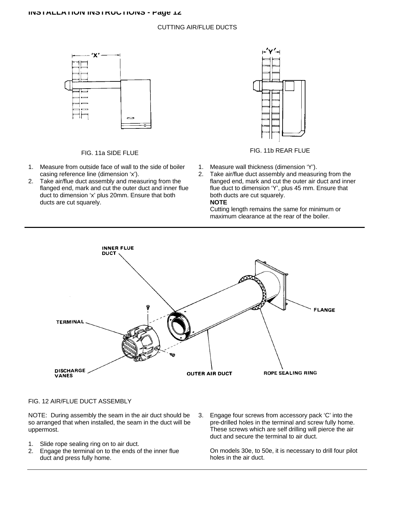#### CUTTING AIR/FLUE DUCTS



- 1. Measure from outside face of wall to the side of boiler casing reference line (dimension 'x').
- 2. Take air/flue duct assembly and measuring from the flanged end, mark and cut the outer duct and inner flue duct to dimension 'x' plus 20mm. Ensure that both ducts are cut squarely.



## FIG. 11a SIDE FLUE FIG. 11b REAR FLUE

- 1. Measure wall thickness (dimension 'Y').
- 2. Take air/flue duct assembly and measuring from the flanged end, mark and cut the outer air duct and inner flue duct to dimension 'Y', plus 45 mm. Ensure that both ducts are cut squarely. **NOTE**

Cutting length remains the same for minimum or maximum clearance at the rear of the boiler.



#### FIG. 12 AIR/FLUE DUCT ASSEMBLY

NOTE: During assembly the seam in the air duct should be so arranged that when installed, the seam in the duct will be uppermost.

- 1. Slide rope sealing ring on to air duct.
- 2. Engage the terminal on to the ends of the inner flue duct and press fully home.
- 3. Engage four screws from accessory pack 'C' into the pre-drilled holes in the terminal and screw fully home. These screws which are self drilling will pierce the air duct and secure the terminal to air duct.

On models 30e, to 50e, it is necessary to drill four pilot holes in the air duct.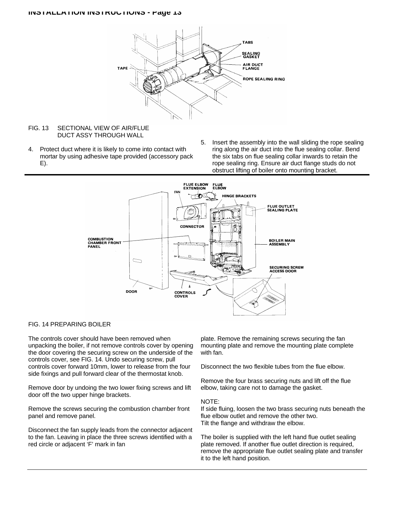

#### FIG. 13 SECTIONAL VIEW OF AIR/FLUE DUCT ASSY THROUGH WALL

- 4. Protect duct where it is likely to come into contact with mortar by using adhesive tape provided (accessory pack E).
- 5. Insert the assembly into the wall sliding the rope sealing ring along the air duct into the flue sealing collar. Bend the six tabs on flue sealing collar inwards to retain the rope sealing ring. Ensure air duct flange studs do not obstruct lifting of boiler onto mounting bracket.



### FIG. 14 PREPARING BOILER

The controls cover should have been removed when unpacking the boiler, if not remove controls cover by opening the door covering the securing screw on the underside of the controls cover, see FIG. 14. Undo securing screw, pull controls cover forward 10mm, lower to release from the four side fixings and pull forward clear of the thermostat knob.

Remove door by undoing the two lower fixing screws and lift door off the two upper hinge brackets.

Remove the screws securing the combustion chamber front panel and remove panel.

Disconnect the fan supply leads from the connector adjacent to the fan. Leaving in place the three screws identified with a red circle or adjacent 'F' mark in fan

plate. Remove the remaining screws securing the fan mounting plate and remove the mounting plate complete with fan.

Disconnect the two flexible tubes from the flue elbow.

Remove the four brass securing nuts and lift off the flue elbow, taking care not to damage the gasket.

#### NOTE:

If side fluing, loosen the two brass securing nuts beneath the flue elbow outlet and remove the other two. Tilt the flange and withdraw the elbow.

The boiler is supplied with the left hand flue outlet sealing plate removed. If another flue outlet direction is required, remove the appropriate flue outlet sealing plate and transfer it to the left hand position.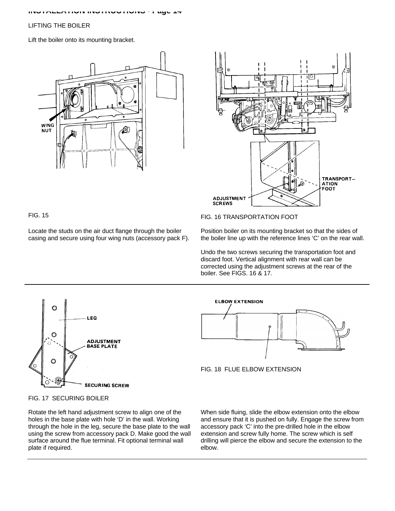#### LIFTING THE BOILER

Lift the boiler onto its mounting bracket.





Locate the studs on the air duct flange through the boiler casing and secure using four wing nuts (accessory pack F).

## FIG. 15 FIG. 16 TRANSPORTATION FOOT

Position boiler on its mounting bracket so that the sides of the boiler line up with the reference lines 'C' on the rear wall.

Undo the two screws securing the transportation foot and discard foot. Vertical alignment with rear wall can be corrected using the adjustment screws at the rear of the boiler. See FIGS. 16 & 17.







FIG. 17 SECURING BOILER

Rotate the left hand adjustment screw to align one of the holes in the base plate with hole 'D' in the wall. Working through the hole in the leg, secure the base plate to the wall using the screw from accessory pack D. Make good the wall surface around the flue terminal. Fit optional terminal wall plate if required.

When side fluing, slide the elbow extension onto the elbow and ensure that it is pushed on fully. Engage the screw from accessory pack 'C' into the pre-drilled hole in the elbow extension and screw fully home. The screw which is self drilling will pierce the elbow and secure the extension to the elbow.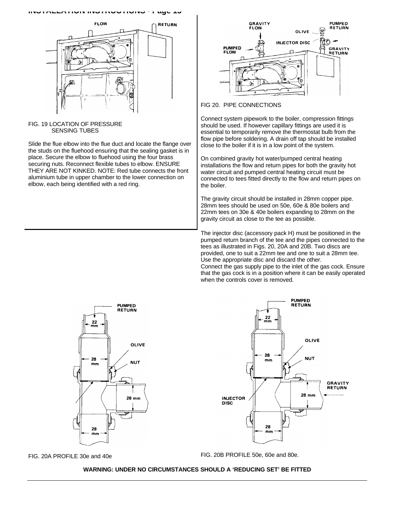

#### FIG. 19 LOCATION OF PRESSURE SENSING TUBES

Slide the flue elbow into the flue duct and locate the flange over the studs on the fluehood ensuring that the sealing gasket is in place. Secure the elbow to fluehood using the four brass securing nuts. Reconnect flexible tubes to elbow. ENSURE THEY ARE NOT KINKED. NOTE: Red tube connects the front aluminium tube in upper chamber to the lower connection on elbow, each being identified with a red ring.



#### FIG 20. PIPE CONNECTIONS

Connect system pipework to the boiler, compression fittings should be used. If however capillary fittings are used it is essential to temporarily remove the thermostat bulb from the flow pipe before soldering. A drain off tap should be installed close to the boiler if it is in a low point of the system.

On combined gravity hot water/pumped central heating installations the flow and return pipes for both the gravity hot water circuit and pumped central heating circuit must be connected to tees fitted directly to the flow and return pipes on the boiler.

The gravity circuit should be installed in 28mm copper pipe. 28mm tees should be used on 50e, 60e & 80e boilers and 22mm tees on 30e & 40e boilers expanding to 28mm on the gravity circuit as close to the tee as possible.

The injector disc (accessory pack H) must be positioned in the pumped return branch of the tee and the pipes connected to the tees as illustrated in Figs. 20, 20A and 20B. Two discs are provided, one to suit a 22mm tee and one to suit a 28mm tee. Use the appropriate disc and discard the other. Connect the gas supply pipe to the inlet of the gas cock. Ensure that the gas cock is in a position where it can be easily operated when the controls cover is removed.





FIG. 20A PROFILE 30e and 40e **FIG. 20B PROFILE 50e, 60e and 80e.** 

#### **WARNING: UNDER NO CIRCUMSTANCES SHOULD A 'REDUCING SET' BE FITTED**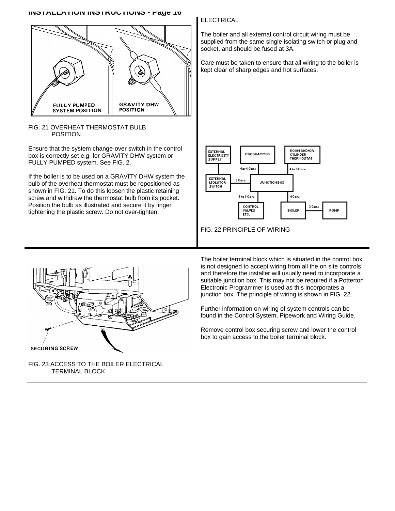

### FIG. 21 OVERHEAT THERMOSTAT BULB POSITION

Ensure that the system change-over switch in the control box is correctly set e.g. for GRAVITY DHW system or FULLY PUMPED system. See FIG. 2.

If the boiler is to be used on a GRAVITY DHW system the bulb of the overheat thermostat must be repositioned as shown in FIG. 21. To do this loosen the plastic retaining screw and withdraw the thermostat bulb from its pocket. Position the bulb as illustrated and secure it by finger tightening the plastic screw. Do not over-tighten.

## ELECTRICAL

The boiler and all external control circuit wiring must be supplied from the same single isolating switch or plug and socket, and should be fused at 3A.

Care must be taken to ensure that all wiring to the boiler is kept clear of sharp edges and hot surfaces.



FIG. 22 PRINCIPLE OF WIRING



FIG. 23 ACCESS TO THE BOILER ELECTRICAL TERMINAL BLOCK

The boiler terminal block which is situated in the control box is not designed to accept wiring from all the on site controls and therefore the installer will usually need to incorporate a suitable junction box. This may not be required if a Potterton Electronic Programmer is used as this incorporates a junction box. The principle of wiring is shown in FIG. 22.

Further information on wiring of system controls can be found in the Control System, Pipework and Wiring Guide.

Remove control box securing screw and lower the control box to gain access to the boiler terminal block.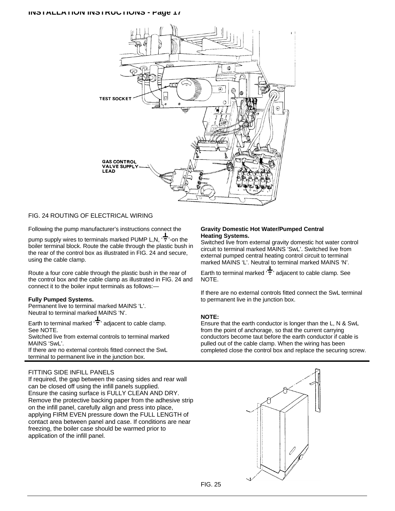

#### FIG. 24 ROUTING OF ELECTRICAL WIRING

Following the pump manufacturer's instructions connect the

pump supply wires to terminals marked PUMP L,N,  $\overrightarrow{+}$  on the boiler terminal block. Route the cable through the plastic bush in the rear of the control box as illustrated in FIG. 24 and secure, using the cable clamp.

Route a four core cable through the plastic bush in the rear of the control box and the cable clamp as illustrated in FIG. 24 and connect it to the boiler input terminals as follows:—

#### **Fully Pumped Systems.**

Permanent live to terminal marked MAINS 'L'. Neutral to terminal marked MAINS 'N'.

Earth to terminal marked  $\frac{1}{T}$  adjacent to cable clamp. See NOTE. Switched live from external controls to terminal marked

MAINS 'SwL'.

If there are no external controls fitted connect the SwL terminal to permanent live in the junction box.

## FITTING SIDE INFILL PANELS

If required, the gap between the casing sides and rear wall can be closed off using the infill panels supplied. Ensure the casing surface is FULLY CLEAN AND DRY. Remove the protective backing paper from the adhesive strip on the infill panel, carefully align and press into place, applying FIRM EVEN pressure down the FULL LENGTH of contact area between panel and case. If conditions are near freezing, the boiler case should be warmed prior to application of the infill panel.

#### **Gravity Domestic Hot Water/Pumped Central Heating Systems.**

Switched live from external gravity domestic hot water control circuit to terminal marked MAINS 'SwL'. Switched live from external pumped central heating control circuit to terminal marked MAINS 'L'. Neutral to terminal marked MAINS 'N'.

Earth to terminal marked  $\overleftarrow{\cdot}$  adjacent to cable clamp. See NOTE.

If there are no external controls fitted connect the SwL terminal to permanent live in the junction box.

#### **NOTE:**

Ensure that the earth conductor is longer than the L, N & SwL from the point of anchorage, so that the current carrying conductors become taut before the earth conductor if cable is pulled out of the cable clamp. When the wiring has been completed close the control box and replace the securing screw.

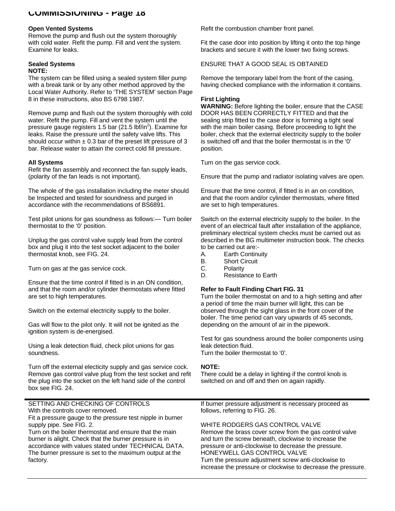## **COMMISSIONING - Page 18**

#### **Open Vented Systems**

Remove the pump and flush out the system thoroughly with cold water. Refit the pump. Fill and vent the system. Examine for leaks.

#### **Sealed Systems NOTE:**

The system can be filled using a sealed system filler pump with a break tank or by any other method approved by the Local Water Authority. Refer to 'THE SYSTEM' section Page 8 in these instructions, also BS 6798 1987.

Remove pump and flush out the system thoroughly with cold water. Refit the pump. Fill and vent the system until the pressure gauge registers 1.5 bar (21.5 lbf/in<sup>2</sup>). Examine for leaks. Raise the pressure until the safety valve lifts. This should occur within  $\pm$  0.3 bar of the preset lift pressure of 3 bar. Release water to attain the correct cold fill pressure.

### **All Systems**

Refit the fan assembly and reconnect the fan supply leads, (polarity of the fan leads is not important).

The whole of the gas installation including the meter should be Inspected and tested for soundness and purged in accordance with the recommendations of BS6891.

Test pilot unions for gas soundness as follows:— Turn boiler thermostat to the '0' position.

Unplug the gas control valve supply lead from the control box and plug it into the test socket adjacent to the boiler thermostat knob, see FIG. 24.

Turn on gas at the gas service cock.

Ensure that the time control if fitted is in an ON condition, and that the room and/or cylinder thermostats where fitted are set to high temperatures.

Switch on the external electricity supply to the boiler.

Gas will flow to the pilot only. It will not be ignited as the ignition system is de-energised.

Using a leak detection fluid, check pilot unions for gas soundness.

Turn off the external electicity supply and gas service cock. Remove gas control valve plug from the test socket and refit the plug into the socket on the left hand side of the control box see FIG. 24.

Refit the combustion chamber front panel.

Fit the case door into position by lifting it onto the top hinge brackets and secure it with the lower two fixing screws.

ENSURE THAT A GOOD SEAL IS OBTAINED

Remove the temporary label from the front of the casing, having checked compliance with the information it contains.

## **First Lighting**

**WARNING:** Before lighting the boiler, ensure that the CASE DOOR HAS BEEN CORRECTLY FITTED and that the sealing strip fitted to the case door is forming a tight seal with the main boiler casing. Before proceeding to light the boiler, check that the external electricity supply to the boiler is switched off and that the boiler thermostat is in the '0' position.

Turn on the gas service cock.

Ensure that the pump and radiator isolating valves are open.

Ensure that the time control, if fitted is in an on condition, and that the room and/or cylinder thermostats, where fitted are set to high temperatures.

Switch on the external electricity supply to the boiler. In the event of an electrical fault after installation of the appliance, preliminary electrical system checks must be carried out as described in the BG multimeter instruction book. The checks to be carried out are:-

- A. Earth Continuity
- B. Short Circuit
- C. Polarity<br>D. Resista
- Resistance to Earth

### **Refer to Fault Finding Chart FIG. 31**

Turn the boiler thermostat on and to a high setting and after a period of time the main burner will light, this can be observed through the sight glass in the front cover of the boiler. The time period can vary upwards of 45 seconds, depending on the amount of air in the pipework.

Test for gas soundness around the boiler components using leak detection fluid.

Turn the boiler thermostat to '0'.

#### **NOTE:**

There could be a delay in lighting if the control knob is switched on and off and then on again rapidly.

SETTING AND CHECKING OF CONTROLS With the controls cover removed. Fit a pressure gauge to the pressure test nipple in burner supply pipe. See FIG. 2. Turn on the boiler thermostat and ensure that the main burner is alight. Check that the burner pressure is in accordance with values stated under TECHNICAL DATA. The burner pressure is set to the maximum output at the factory. If burner pressure adjustment is necessary proceed as follows, referring to FIG. 26. WHITE RODGERS GAS CONTROL VALVE Remove the brass cover screw from the gas control valve and turn the screw beneath, clockwise to increase the pressure or anti-clockwise to decrease the pressure. HONEYWELL GAS CONTROL VALVE Turn the pressure adjustment screw anti-clockwise to increase the pressure or clockwise to decrease the pressure.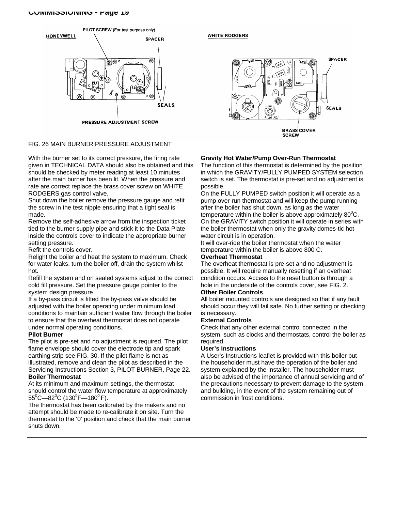#### **COMMISSIONING - Page 19**



PRESSURE ADJUSTMENT SCREW

#### FIG. 26 MAIN BURNER PRESSURE ADJUSTMENT

With the burner set to its correct pressure, the firing rate given in TECHNICAL DATA should also be obtained and this should be checked by meter reading at least 10 minutes after the main burner has been lit. When the pressure and rate are correct replace the brass cover screw on WHITE RODGERS gas control valve.

Shut down the boiler remove the pressure gauge and refit the screw in the test nipple ensuring that a tight seal is made.

Remove the self-adhesive arrow from the inspection ticket tied to the burner supply pipe and stick it to the Data Plate inside the controls cover to indicate the appropriate burner setting pressure.

Refit the controls cover.

Relight the boiler and heat the system to maximum. Check for water leaks, turn the boiler off, drain the system whilst hot.

Refill the system and on sealed systems adjust to the correct cold fill pressure. Set the pressure gauge pointer to the system design pressure.

If a by-pass circuit is fitted the by-pass valve should be adjusted with the boiler operating under minimum load conditions to maintain sufficient water flow through the boiler to ensure that the overheat thermostat does not operate under normal operating conditions.

#### **Pilot Burner**

The pilot is pre-set and no adjustment is required. The pilot flame envelope should cover the electrode tip and spark earthing strip see FIG. 30. If the pilot flame is not as illustrated, remove and clean the pilot as described in the Servicing Instructions Section 3, PILOT BURNER, Page 22. **Boiler Thermostat**

At its minimum and maximum settings, the thermostat should control the water flow temperature at approximately  $55^{\rm o}$ C—82 $^{\rm o}$ C (130 $^{\rm o}$ F—180 $^{\rm o}$  F).

The thermostat has been calibrated by the makers and no attempt should be made to re-calibrate it on site. Turn the thermostat to the '0' position and check that the main burner shuts down.

#### **WHITE RODGERS**



### **Gravity Hot Water/Pump Over-Run Thermostat**

The function of this thermostat is determined by the position in which the GRAVITY/FULLY PUMPED SYSTEM selection switch is set. The thermostat is pre-set and no adjustment is possible.

On the FULLY PUMPED switch position it will operate as a pump over-run thermostat and will keep the pump running after the boiler has shut down, as long as the water temperature within the boiler is above approximately  $80^0C$ . On the GRAVITY switch position it will operate in series with the boiler thermostat when only the gravity domes-tic hot water circuit is in operation.

It will over-ride the boiler thermostat when the water temperature within the boiler is above 800 C.

### **Overheat Thermostat**

The overheat thermostat is pre-set and no adjustment is possible. It will require manually resetting if an overheat condition occurs. Access to the reset button is through a hole in the underside of the controls cover, see FIG. 2.

#### **Other Boiler Controls**

All boiler mounted controls are designed so that if any fault should occur they will fail safe. No further setting or checking is necessary.

#### **External Controls**

Check that any other external control connected in the system, such as clocks and thermostats, control the boiler as required.

#### **User's Instructions**

A User's Instructions leaflet is provided with this boiler but the householder must have the operation of the boiler and system explained by the Installer. The householder must also be advised of the importance of annual servicing and of the precautions necessary to prevent damage to the system and building, in the event of the system remaining out of commission in frost conditions.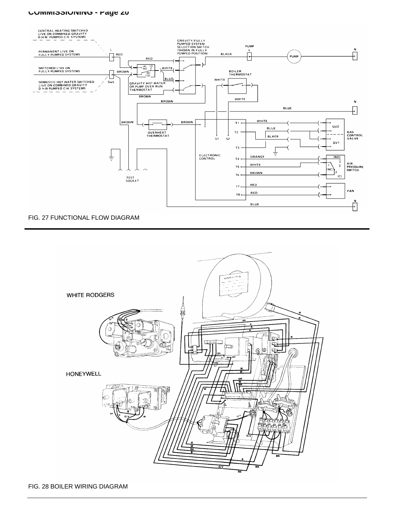#### **COMMISSIONING - Page 20**



## FIG. 27 FUNCTIONAL FLOW DIAGRAM

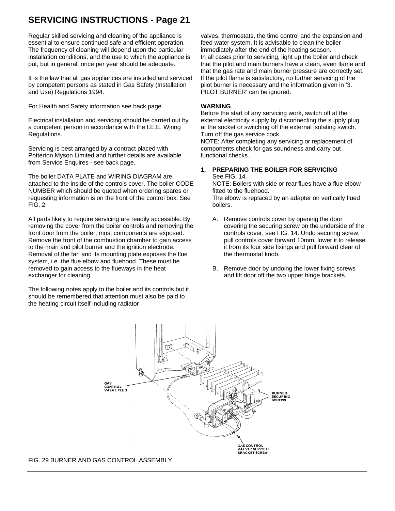Regular skilled servicing and cleaning of the appliance is essential to ensure continued safe and efficient operation. The frequency of cleaning will depend upon the particular installation conditions, and the use to which the appliance is put, but in general, once per year should be adequate.

It is the law that all gas appliances are installed and serviced by competent persons as stated in Gas Safety (Installation and Use) Regulations 1994.

For Health and Safety information see back page.

Electrical installation and servicing should be carried out by a competent person in accordance with the I.E.E. Wiring Regulations.

Servicing is best arranged by a contract placed with Potterton Myson Limited and further details are available from Service Enquires - see back page.

The boiler DATA PLATE and WIRING DIAGRAM are attached to the inside of the controls cover. The boiler CODE NUMBER which should be quoted when ordering spares or requesting information is on the front of the control box. See FIG. 2.

All parts likely to require servicing are readily accessible. By removing the cover from the boiler controls and removing the front door from the boiler, most components are exposed. Remove the front of the combustion chamber to gain access to the main and pilot burner and the ignition electrode. Removal of the fan and its mounting plate exposes the flue system, i.e. the flue elbow and fluehood. These must be removed to gain access to the flueways in the heat exchanger for cleaning.

The following notes apply to the boiler and its controls but it should be remembered that attention must also be paid to the heating circuit itself including radiator

valves, thermostats, the time control and the expansion and feed water system. It is advisable to clean the boiler immediately after the end of the heating season. In all cases prior to servicing, light up the boiler and check that the pilot and main burners have a clean, even flame and that the gas rate and main burner pressure are correctly set. If the pilot flame is satisfactory, no further servicing of the pilot burner is necessary and the information given in '3. PILOT BURNER' can be ignored.

#### **WARNING**

Before the start of any servicing work, switch off at the external electricity supply by disconnecting the supply plug at the socket or switching off the external isolating switch. Turn off the gas service cock.

NOTE: After completing any servicing or replacement of components check for gas soundness and carry out functional checks.

#### **1. PREPARING THE BOILER FOR SERVICING** See FIG. 14.

NOTE: Boilers with side or rear flues have a flue elbow fitted to the fluehood.

The elbow is replaced by an adapter on vertically flued boilers.

- A. Remove controls cover by opening the door covering the securing screw on the underside of the controls cover, see FIG. 14. Undo securing screw, pull controls cover forward 10mm, lower it to release it from its four side fixings and pull forward clear of the thermostat knob.
- B. Remove door by undoing the lower fixing screws and lift door off the two upper hinge brackets.



FIG. 29 BURNER AND GAS CONTROL ASSEMBLY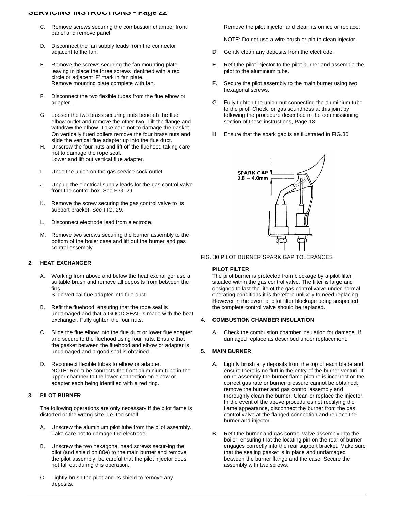- C. Remove screws securing the combustion chamber front panel and remove panel.
- D. Disconnect the fan supply leads from the connector adjacent to the fan.
- E. Remove the screws securing the fan mounting plate leaving in place the three screws identified with a red circle or adjacent 'F' mark in fan plate. Remove mounting plate complete with fan.
- F. Disconnect the two flexible tubes from the flue elbow or adapter.
- G. Loosen the two brass securing nuts beneath the flue elbow outlet and remove the other two. Tilt the flange and withdraw the elbow. Take care not to damage the gasket. On vertically flued boilers remove the four brass nuts and slide the vertical flue adapter up into the flue duct.
- H. Unscrew the four nuts and lift off the fluehood taking care not to damage the rope seal. Lower and lift out vertical flue adapter.
- I. Undo the union on the gas service cock outlet.
- J. Unplug the electrical supply leads for the gas control valve from the control box. See FIG. 29.
- K. Remove the screw securing the gas control valve to its support bracket. See FIG. 29.
- L. Disconnect electrode lead from electrode.
- M. Remove two screws securing the burner assembly to the bottom of the boiler case and lift out the burner and gas control assembly

#### **2. HEAT EXCHANGER**

- A. Working from above and below the heat exchanger use a suitable brush and remove all deposits from between the fins. Slide vertical flue adapter into flue duct.
- B. Refit the fluehood, ensuring that the rope seal is undamaged and that a GOOD SEAL is made with the heat exchanger. Fully tighten the four nuts.
- C. Slide the flue elbow into the flue duct or lower flue adapter and secure to the fluehood using four nuts. Ensure that the gasket between the fluehood and elbow or adapter is undamaged and a good seal is obtained.
- D. Reconnect flexible tubes to elbow or adapter. NOTE: Red tube connects the front aluminium tube in the upper chamber to the lower connection on elbow or adapter each being identified with a red ring.

#### **3. PILOT BURNER**

The following operations are only necessary if the pilot flame is distorted or the wrong size, i.e. too small.

- A. Unscrew the aluminium pilot tube from the pilot assembly. Take care not to damage the electrode.
- B. Unscrew the two hexagonal head screws secur-ing the pilot (and shield on 80e) to the main burner and remove the pilot assembly, be careful that the pilot injector does not fall out during this operation.
- C. Lightly brush the pilot and its shield to remove any deposits.

Remove the pilot injector and clean its orifice or replace.

NOTE: Do not use a wire brush or pin to clean injector.

- D. Gently clean any deposits from the electrode.
- E. Refit the pilot injector to the pilot burner and assemble the pilot to the aluminium tube.
- F. Secure the pilot assembly to the main burner using two hexagonal screws.
- G. Fully tighten the union nut connecting the aluminium tube to the pilot. Check for gas soundness at this joint by following the procedure described in the commissioning section of these instructions, Page 18.
- H. Ensure that the spark gap is as illustrated in FIG.30



FIG. 30 PILOT BURNER SPARK GAP TOLERANCES

#### **PILOT FILTER**

The pilot burner is protected from blockage by a pilot filter situated within the gas control valve. The filter is large and designed to last the life of the gas control valve under normal operating conditions it is therefore unlikely to need replacing. However in the event of pilot filter blockage being suspected the complete control valve should be replaced.

#### **4. COMBUSTION CHAMBER INSULATION**

A. Check the combustion chamber insulation for damage. If damaged replace as described under replacement.

#### **5. MAIN BURNER**

- A. Lightly brush any deposits from the top of each blade and ensure there is no fluff in the entry of the burner venturi. If on re-assembly the burner flame picture is incorrect or the correct gas rate or burner pressure cannot be obtained, remove the burner and gas control assembly and thoroughly clean the burner. Clean or replace the injector. In the event of the above procedures not rectifying the flame appearance, disconnect the burner from the gas control valve at the flanged connection and replace the burner and injector.
- B. Refit the burner and gas control valve assembly into the boiler, ensuring that the locating pin on the rear of burner engages correctly into the rear support bracket. Make sure that the sealing gasket is in place and undamaged between the burner flange and the case. Secure the assembly with two screws.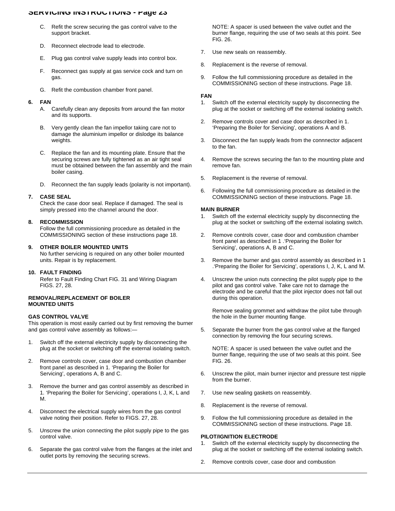- C. Refit the screw securing the gas control valve to the support bracket.
- D. Reconnect electrode lead to electrode.
- E. Plug gas control valve supply leads into control box.
- F. Reconnect gas supply at gas service cock and turn on gas.
- G. Refit the combustion chamber front panel.

#### **6. FAN**

- A. Carefully clean any deposits from around the fan motor and its supports.
- B. Very gently clean the fan impellor taking care not to damage the aluminium impellor or dislodge its balance weights.
- C. Replace the fan and its mounting plate. Ensure that the securing screws are fully tightened as an air tight seal must be obtained between the fan assembly and the main boiler casing.
- D. Reconnect the fan supply leads (polarity is not important).

#### **7. CASE SEAL**

Check the case door seal. Replace if damaged. The seal is simply pressed into the channel around the door.

#### **8. RECOMMISSION**

Follow the full commissioning procedure as detailed in the COMMISSIONING section of these instructions page 18.

#### **9. OTHER BOILER MOUNTED UNITS**

No further servicing is required on any other boiler mounted units. Repair is by replacement.

#### **10. FAULT FINDING**

Refer to Fault Finding Chart FIG. 31 and Wiring Diagram FIGS. 27, 28.

#### **REMOVAL/REPLACEMENT OF BOILER MOUNTED UNITS**

#### **GAS CONTROL VALVE**

This operation is most easily carried out by first removing the burner and gas control valve assembly as follows:—

- 1. Switch off the external electricity supply by disconnecting the plug at the socket or switching off the external isolating switch.
- 2. Remove controls cover, case door and combustion chamber front panel as described in 1. 'Preparing the Boiler for Servicing', operations A, B and C.
- 3. Remove the burner and gas control assembly as described in 1. 'Preparing the Boiler for Servicing', operations I, J, K, L and M.
- 4. Disconnect the electrical supply wires from the gas control valve noting their position. Refer to FIGS. 27, 28.
- 5. Unscrew the union connecting the pilot supply pipe to the gas control valve.
- 6. Separate the gas control valve from the flanges at the inlet and outlet ports by removing the securing screws.

NOTE: A spacer is used between the valve outlet and the burner flange, requiring the use of two seals at this point. See FIG. 26.

- 7. Use new seals on reassembly.
- 8. Replacement is the reverse of removal.
- 9. Follow the full commissioning procedure as detailed in the COMMISSIONING section of these instructions. Page 18.

#### **FAN**

- 1. Switch off the external electricity supply by disconnecting the plug at the socket or switching off the external isolating switch.
- 2. Remove controls cover and case door as described in 1. 'Preparing the Boiler for Servicing', operations A and B.
- 3. Disconnect the fan supply leads from the connnector adjacent to the fan.
- 4. Remove the screws securing the fan to the mounting plate and remove fan.
- 5. Replacement is the reverse of removal.
- 6. Following the full commissioning procedure as detailed in the COMMISSIONING section of these instructions. Page 18.

#### **MAIN BURNER**

- Switch off the external electricity supply by disconnecting the plug at the socket or switching off the external isolating switch.
- 2. Remove controls cover, case door and combustion chamber front panel as described in 1 .'Preparing the Boiler for Servicing', operations A, B and C.
- 3. Remove the burner and gas control assembly as described in 1 .'Preparing the Boiler for Servicing', operations I, J, K, L and M.
- 4. Unscrew the union nuts connecting the pilot supply pipe to the pilot and gas control valve. Take care not to damage the electrode and be careful that the pilot injector does not fall out during this operation.

Remove sealing grommet and withdraw the pilot tube through the hole in the burner mounting flange.

5. Separate the burner from the gas control valve at the flanged connection by removing the four securing screws.

NOTE: A spacer is used between the valve outlet and the burner flange, requiring the use of two seals at this point. See FIG. 26.

- 6. Unscrew the pilot, main burner injector and pressure test nipple from the burner.
- 7. Use new sealing gaskets on reassembly.
- 8. Replacement is the reverse of removal.
- 9. Follow the full commissioning procedure as detailed in the COMMISSIONING section of these instructions. Page 18.

#### **PILOT/IGNITION ELECTRODE**

- 1. Switch off the external electricity supply by disconnecting the plug at the socket or switching off the external isolating switch.
- 2. Remove controls cover, case door and combustion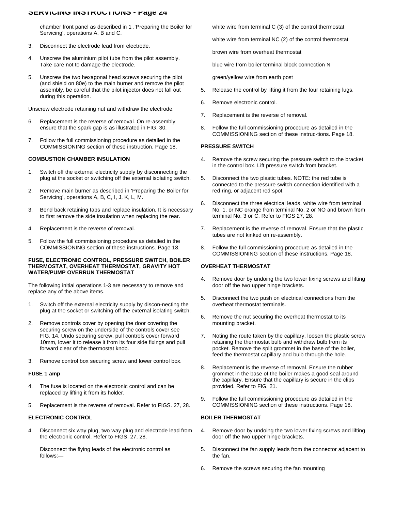chamber front panel as described in 1 .'Preparing the Boiler for Servicing', operations A, B and C.

- 3. Disconnect the electrode lead from electrode.
- 4. Unscrew the aluminium pilot tube from the pilot assembly. Take care not to damage the electrode.
- 5. Unscrew the two hexagonal head screws securing the pilot (and shield on 80e) to the main burner and remove the pilot assembly, be careful that the pilot injector does not fall out during this operation.

Unscrew electrode retaining nut and withdraw the electrode.

- 6. Replacement is the reverse of removal. On re-assembly ensure that the spark gap is as illustrated in FIG. 30.
- 7. Follow the full commissioning procedure as detailed in the COMMISSIONING section of these instruction. Page 18.

#### **COMBUSTION CHAMBER INSULATION**

- 1. Switch off the external electricity supply by disconnecting the plug at the socket or switching off the external isolating switch.
- 2. Remove main burner as described in 'Preparing the Boiler for Servicing', operations A, B, C, I, J, K, L, M.
- 3. Bend back retaining tabs and replace insulation. It is necessary to first remove the side insulation when replacing the rear.
- 4. Replacement is the reverse of removal.
- 5. Follow the full commissioning procedure as detailed in the COMMISSIONING section of these instructions. Page 18.

#### **FUSE, ELECTRONIC CONTROL, PRESSURE SWITCH, BOILER THERMOSTAT, OVERHEAT THERMOSTAT, GRAVITY HOT WATER/PUMP OVERRUN THERMOSTAT**

The following initial operations 1-3 are necessary to remove and replace any of the above items.

- 1. Switch off the external electricity supply by discon-necting the plug at the socket or switching off the external isolating switch.
- 2. Remove controls cover by opening the door covering the securing screw on the underside of the controls cover see FIG. 14. Undo securing screw, pull controls cover forward 10mm, lower it to release it from its four side fixings and pull forward clear of the thermostat knob.
- 3. Remove control box securing screw and lower control box.

#### **FUSE 1 amp**

- 4. The fuse is located on the electronic control and can be replaced by lifting it from its holder.
- 5. Replacement is the reverse of removal. Refer to FIGS. 27, 28.

#### **ELECTRONIC CONTROL**

4. Disconnect six way plug, two way plug and electrode lead from the electronic control. Refer to FIGS. 27, 28.

Disconnect the flying leads of the electronic control as follows:—

white wire from terminal C (3) of the control thermostat

white wire from terminal NC (2) of the control thermostat

brown wire from overheat thermostat

blue wire from boiler terminal block connection N

green/yellow wire from earth post

- 5. Release the control by lifting it from the four retaining lugs.
- 6. Remove electronic control.
- 7. Replacement is the reverse of removal.
- 8. Follow the full commissioning procedure as detailed in the COMMISSIONING section of these instruc-tions. Page 18.

#### **PRESSURE SWITCH**

- Remove the screw securing the pressure switch to the bracket in the control box. Lift pressure switch from bracket.
- 5. Disconnect the two plastic tubes. NOTE: the red tube is connected to the pressure switch connection identified with a red ring, or adjacent red spot.
- 6. Disconnect the three electrical leads, white wire from terminal No. 1, or NC orange from terminal No. 2 or NO and brown from terminal No. 3 or C. Refer to FIGS 27, 28.
- 7. Replacement is the reverse of removal. Ensure that the plastic tubes are not kinked on re-assembly.
- 8. Follow the full commissioning procedure as detailed in the COMMISSIONING section of these instructions. Page 18.

#### **OVERHEAT THERMOSTAT**

- 4. Remove door by undoing the two lower fixing screws and lifting door off the two upper hinge brackets.
- 5. Disconnect the two push on electrical connections from the overheat thermostat terminals.
- 6. Remove the nut securing the overheat thermostat to its mounting bracket.
- 7. Noting the route taken by the capillary, loosen the plastic screw retaining the thermostat bulb and withdraw bulb from its pocket. Remove the split grommet in the base of the boiler, feed the thermostat capillary and bulb through the hole.
- 8. Replacement is the reverse of removal. Ensure the rubber grommet in the base of the boiler makes a good seal around the capillary. Ensure that the capillary is secure in the clips provided. Refer to FIG. 21.
- 9. Follow the full commissioning procedure as detailed in the COMMISSIONING section of these instructions. Page 18.

#### **BOILER THERMOSTAT**

- 4. Remove door by undoing the two lower fixing screws and lifting door off the two upper hinge brackets.
- 5. Disconnect the fan supply leads from the connector adjacent to the fan.
- 6. Remove the screws securing the fan mounting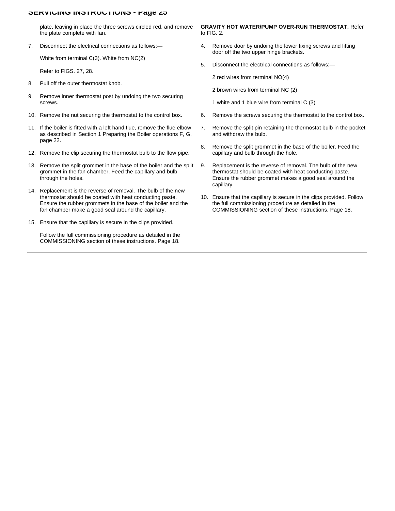plate, leaving in place the three screws circled red, and remove the plate complete with fan.

7. Disconnect the electrical connections as follows:—

White from terminal C(3). White from NC(2)

Refer to FIGS. 27, 28.

- 8. Pull off the outer thermostat knob.
- 9. Remove inner thermostat post by undoing the two securing screws.
- 10. Remove the nut securing the thermostat to the control box.
- 11. If the boiler is fitted with a left hand flue, remove the flue elbow as described in Section 1 Preparing the Boiler operations F, G, page 22.
- 12. Remove the clip securing the thermostat bulb to the flow pipe.
- 13. Remove the split grommet in the base of the boiler and the split grommet in the fan chamber. Feed the capillary and bulb through the holes.
- 14. Replacement is the reverse of removal. The bulb of the new thermostat should be coated with heat conducting paste. Ensure the rubber grommets in the base of the boiler and the fan chamber make a good seal around the capillary.
- 15. Ensure that the capillary is secure in the clips provided.

Follow the full commissioning procedure as detailed in the COMMISSIONING section of these instructions. Page 18.

#### **GRAVITY HOT WATER/PUMP OVER-RUN THERMOSTAT.** Refer to FIG. 2.

- 4. Remove door by undoing the lower fixing screws and lifting door off the two upper hinge brackets.
- 5. Disconnect the electrical connections as follows:—

2 red wires from terminal NO(4)

2 brown wires from terminal NC (2)

1 white and 1 blue wire from terminal C (3)

- 6. Remove the screws securing the thermostat to the control box.
- 7. Remove the split pin retaining the thermostat bulb in the pocket and withdraw the bulb.
- 8. Remove the split grommet in the base of the boiler. Feed the capillary and bulb through the hole.
- 9. Replacement is the reverse of removal. The bulb of the new thermostat should be coated with heat conducting paste. Ensure the rubber grommet makes a good seal around the capillary.
- 10. Ensure that the capillary is secure in the clips provided. Follow the full commissioning procedure as detailed in the COMMISSIONING section of these instructions. Page 18.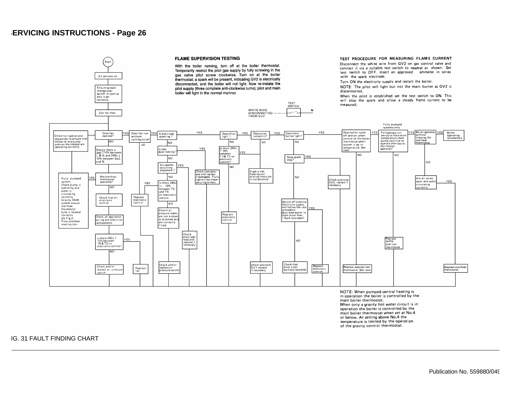

in operation the boiler is controlled by the main boiler thermostat. When only a gravity hot water circuit is in operation the boiler is controlled by the main boiler thermostat when set at No.4 or below. At setting above No.4 the temperature is limited by the operation

of the gravity control thermostat.

FIG. 31 FAULT FINDING CHART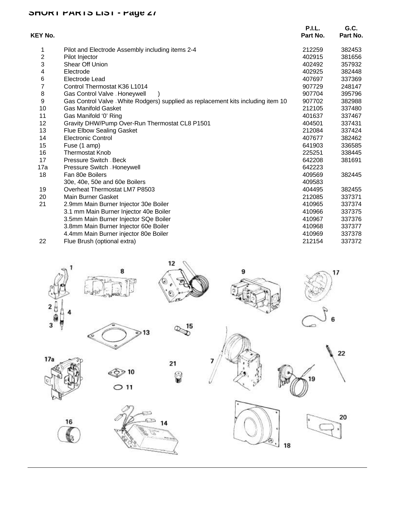# **SHORT PARTS LIST - Page 27**

| <b>KEY No.</b> |                                                                                   | <b>P.I.L.</b><br>Part No. | G.C.<br>Part No. |
|----------------|-----------------------------------------------------------------------------------|---------------------------|------------------|
| 1              | Pilot and Electrode Assembly including items 2-4                                  | 212259                    | 382453           |
| 2              | Pilot Injector                                                                    | 402915                    | 381656           |
| 3              | <b>Shear Off Union</b>                                                            | 402492                    | 357932           |
| 4              | Electrode                                                                         | 402925                    | 382448           |
| 6              | Electrode Lead                                                                    | 407697                    | 337369           |
| 7              | Control Thermostat K36 L1014                                                      | 907729                    | 248147           |
| 8              | Gas Control Valve - Honeywell                                                     | 907704                    | 395796           |
| 9              | Gas Control Valve - White Rodgers) supplied as replacement kits including item 10 | 907702                    | 382988           |
| 10             | <b>Gas Manifold Gasket</b>                                                        | 212105                    | 337480           |
| 11             | Gas Manifold '0' Ring                                                             | 401637                    | 337467           |
| 12             | Gravity DHW/Pump Over-Run Thermostat CL8 P1501                                    | 404501                    | 337431           |
| 13             | Flue Elbow Sealing Gasket                                                         | 212084                    | 337424           |
| 14             | Electronic Control                                                                | 407677                    | 382462           |
| 15             | Fuse (1 amp)                                                                      | 641903                    | 336585           |
| 16             | Thermostat Knob                                                                   | 225251                    | 338445           |
| 17             | Pressure Switch - Beck                                                            | 642208                    | 381691           |
| 17a            | Pressure Switch - Honeywell                                                       | 642223                    |                  |
| 18             | Fan 80e Boilers                                                                   | 409569                    | 382445           |
|                | 30e, 40e, 50e and 60e Boilers                                                     | 409583                    |                  |
| 19             | Overheat Thermostat LM7 P8503                                                     | 404495                    | 382455           |
| 20             | Main Burner Gasket                                                                | 212085                    | 337371           |
| 21             | 2.9mm Main Burner Injector 30e Boiler                                             | 410965                    | 337374           |
|                | 3.1 mm Main Burner Injector 40e Boiler                                            | 410966                    | 337375           |
|                | 3.5mm Main Burner Injector SQe Boiler                                             | 410967                    | 337376           |
|                | 3.8mm Main Burner Injector 60e Boiler                                             | 410968                    | 337377           |
|                | 4.4mm Main Burner injector 80e Boiler                                             | 410969                    | 337378           |
| 22             | Flue Brush (optional extra)                                                       | 212154                    | 337372           |